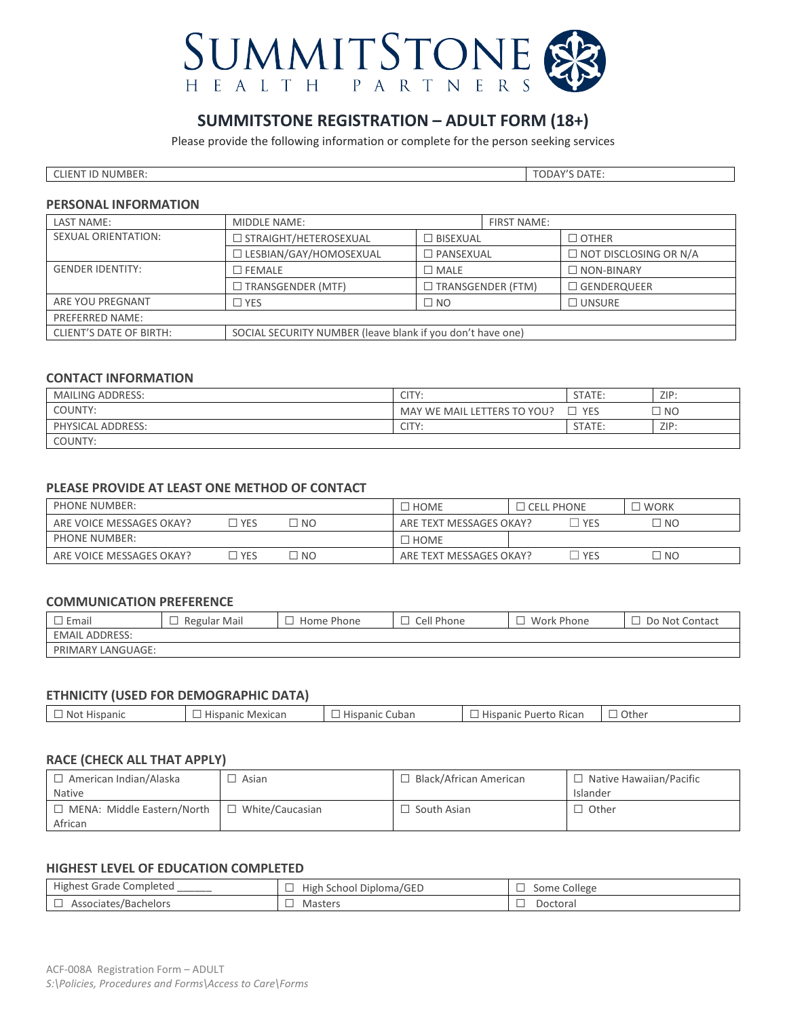

# **SUMMITSTONE REGISTRATION – ADULT FORM (18+)**

Please provide the following information or complete for the person seeking services

| CLIENT ID NUMBER: | <b>TODAY'S DATE:</b> |
|-------------------|----------------------|

#### **PERSONAL INFORMATION**

| LAST NAME:                                     | MIDDLE NAME:<br><b>FIRST NAME:</b>                         |                          |                   |                              |
|------------------------------------------------|------------------------------------------------------------|--------------------------|-------------------|------------------------------|
| <b>SEXUAL ORIENTATION:</b>                     | □ STRAIGHT/HETEROSEXUAL                                    | $\Box$ BISEXUAL          |                   | $\Box$ OTHER                 |
|                                                | □ LESBIAN/GAY/HOMOSEXUAL                                   | $\square$ PANSEXUAL      |                   | $\Box$ NOT DISCLOSING OR N/A |
| <b>GENDER IDENTITY:</b>                        | $\Box$ MALE<br>$\sqsupset$ FEMALE                          |                          | $\Box$ NON-BINARY |                              |
|                                                | ] TRANSGENDER (MTF)                                        | $\Box$ TRANSGENDER (FTM) |                   | $\Box$ GENDERQUEER           |
| ARE YOU PREGNANT<br>$\square$ NO<br>$\Box$ Yes |                                                            | $\Box$ UNSURE            |                   |                              |
| <b>PREFERRED NAME:</b>                         |                                                            |                          |                   |                              |
| <b>CLIENT'S DATE OF BIRTH:</b>                 | SOCIAL SECURITY NUMBER (leave blank if you don't have one) |                          |                   |                              |

# **CONTACT INFORMATION**

| <b>MAILING ADDRESS:</b> | CITY:                       | STATE:     | ZIP:      |
|-------------------------|-----------------------------|------------|-----------|
| COUNTY:                 | MAY WE MAIL LETTERS TO YOU? | <b>YFS</b> | <b>NC</b> |
| PHYSICAL ADDRESS:       | CITY:                       | STATE:     | ZIP:      |
| COUNTY:                 |                             |            |           |

# **PLEASE PROVIDE AT LEAST ONE METHOD OF CONTACT**

| <b>PHONE NUMBER:</b>     |            |                | <b>HOME</b>             | $\Box$ Cell phone | ' WORK |
|--------------------------|------------|----------------|-------------------------|-------------------|--------|
| ARE VOICE MESSAGES OKAY? | <b>YES</b> | I NO           | ARE TEXT MESSAGES OKAY? | <b>YES</b>        | -NO    |
| <b>PHONE NUMBER:</b>     |            |                | HOME <sup>1</sup>       |                   |        |
| ARE VOICE MESSAGES OKAY? | <b>YES</b> | N <sub>O</sub> | ARE TEXT MESSAGES OKAY? | <b>YES</b>        | NO     |

# **COMMUNICATION PREFERENCE**

| `Email                         | Regular Mail | Home Phone | Cell Phone | Work Phone | Do Not Contact |
|--------------------------------|--------------|------------|------------|------------|----------------|
| <b>EMAIL ADDRESS:</b>          |              |            |            |            |                |
| 'LANGUAGE:<br><b>PRIMARY L</b> |              |            |            |            |                |

# **ETHNICITY (USED FOR DEMOGRAPHIC DATA)**

| Cuban<br>Other<br>ispanic<br><b>Hispanic</b><br>NO <sup>1</sup><br>⊔⊷<br>isdafiic<br>Kitdi<br>:'XILdI<br>. на |
|---------------------------------------------------------------------------------------------------------------|
|---------------------------------------------------------------------------------------------------------------|

## **RACE (CHECK ALL THAT APPLY)**

| 1 American Indian/Alaska<br><b>Native</b>    | Asian           | Black/African American | $\Box$ Native Hawaiian/Pacific<br>Islander |
|----------------------------------------------|-----------------|------------------------|--------------------------------------------|
| $\Box$ MENA: Middle Eastern/North<br>African | White/Caucasian | South Asian            | ∟ Other                                    |

# **HIGHEST LEVEL OF EDUCATION COMPLETED**

| Highest<br>Completed<br>Grade<br>_______ | School Diploma/GED ا<br>Hıgi | College<br>Some<br>ᅳ |
|------------------------------------------|------------------------------|----------------------|
| Associates/Bachelors                     | Masters                      | Doctoral             |